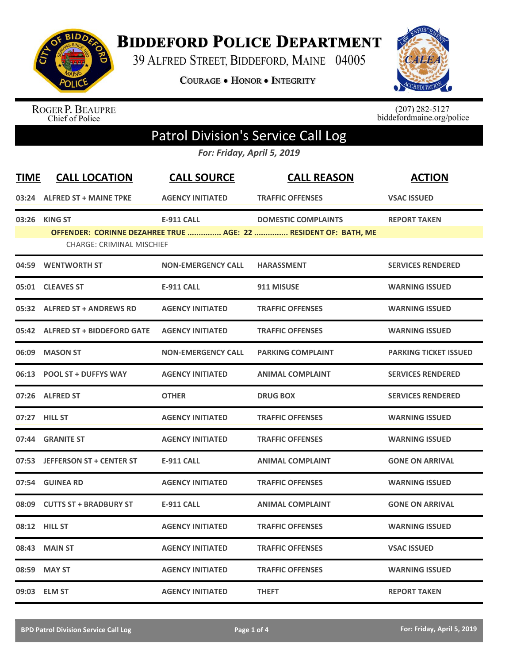

## **BIDDEFORD POLICE DEPARTMENT**

39 ALFRED STREET, BIDDEFORD, MAINE 04005

**COURAGE . HONOR . INTEGRITY** 



ROGER P. BEAUPRE<br>Chief of Police

 $(207)$  282-5127<br>biddefordmaine.org/police

## Patrol Division's Service Call Log

*For: Friday, April 5, 2019*

| <b>TIME</b> | <b>CALL LOCATION</b>                               | <b>CALL SOURCE</b>        | <b>CALL REASON</b>                                                                            | <b>ACTION</b>                |
|-------------|----------------------------------------------------|---------------------------|-----------------------------------------------------------------------------------------------|------------------------------|
|             | 03:24 ALFRED ST + MAINE TPKE                       | <b>AGENCY INITIATED</b>   | <b>TRAFFIC OFFENSES</b>                                                                       | <b>VSAC ISSUED</b>           |
| 03:26       | <b>KING ST</b><br><b>CHARGE: CRIMINAL MISCHIEF</b> | <b>E-911 CALL</b>         | <b>DOMESTIC COMPLAINTS</b><br>OFFENDER: CORINNE DEZAHREE TRUE  AGE: 22  RESIDENT OF: BATH, ME | <b>REPORT TAKEN</b>          |
|             | 04:59 WENTWORTH ST                                 | <b>NON-EMERGENCY CALL</b> | <b>HARASSMENT</b>                                                                             | <b>SERVICES RENDERED</b>     |
|             | 05:01 CLEAVES ST                                   | <b>E-911 CALL</b>         | 911 MISUSE                                                                                    | <b>WARNING ISSUED</b>        |
|             | 05:32 ALFRED ST + ANDREWS RD                       | <b>AGENCY INITIATED</b>   | <b>TRAFFIC OFFENSES</b>                                                                       | <b>WARNING ISSUED</b>        |
|             | 05:42 ALFRED ST + BIDDEFORD GATE                   | <b>AGENCY INITIATED</b>   | <b>TRAFFIC OFFENSES</b>                                                                       | <b>WARNING ISSUED</b>        |
|             | 06:09 MASON ST                                     | <b>NON-EMERGENCY CALL</b> | <b>PARKING COMPLAINT</b>                                                                      | <b>PARKING TICKET ISSUED</b> |
|             | 06:13 POOL ST + DUFFYS WAY                         | <b>AGENCY INITIATED</b>   | <b>ANIMAL COMPLAINT</b>                                                                       | <b>SERVICES RENDERED</b>     |
|             | 07:26 ALFRED ST                                    | <b>OTHER</b>              | <b>DRUG BOX</b>                                                                               | <b>SERVICES RENDERED</b>     |
|             | 07:27 HILL ST                                      | <b>AGENCY INITIATED</b>   | <b>TRAFFIC OFFENSES</b>                                                                       | <b>WARNING ISSUED</b>        |
|             | 07:44 GRANITE ST                                   | <b>AGENCY INITIATED</b>   | <b>TRAFFIC OFFENSES</b>                                                                       | <b>WARNING ISSUED</b>        |
|             | 07:53 JEFFERSON ST + CENTER ST                     | <b>E-911 CALL</b>         | <b>ANIMAL COMPLAINT</b>                                                                       | <b>GONE ON ARRIVAL</b>       |
|             | 07:54 GUINEA RD                                    | <b>AGENCY INITIATED</b>   | <b>TRAFFIC OFFENSES</b>                                                                       | <b>WARNING ISSUED</b>        |
|             | 08:09 CUTTS ST + BRADBURY ST                       | <b>E-911 CALL</b>         | <b>ANIMAL COMPLAINT</b>                                                                       | <b>GONE ON ARRIVAL</b>       |
|             | <b>08:12 HILL ST</b>                               | <b>AGENCY INITIATED</b>   | <b>TRAFFIC OFFENSES</b>                                                                       | <b>WARNING ISSUED</b>        |
| 08:43       | <b>MAIN ST</b>                                     | <b>AGENCY INITIATED</b>   | <b>TRAFFIC OFFENSES</b>                                                                       | <b>VSAC ISSUED</b>           |
| 08:59       | <b>MAY ST</b>                                      | <b>AGENCY INITIATED</b>   | <b>TRAFFIC OFFENSES</b>                                                                       | <b>WARNING ISSUED</b>        |
|             | 09:03 ELM ST                                       | <b>AGENCY INITIATED</b>   | <b>THEFT</b>                                                                                  | <b>REPORT TAKEN</b>          |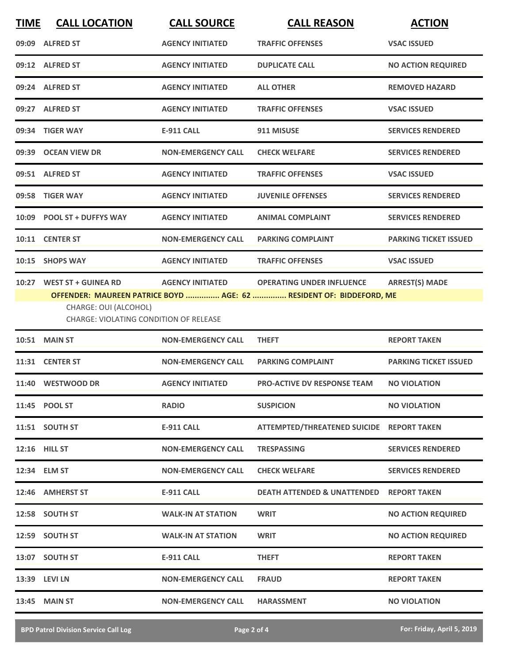| <b>TIME</b> | <b>CALL LOCATION</b>                                                                         | <b>CALL SOURCE</b>        | <b>CALL REASON</b>                                                                                      | <b>ACTION</b>                |
|-------------|----------------------------------------------------------------------------------------------|---------------------------|---------------------------------------------------------------------------------------------------------|------------------------------|
|             | 09:09 ALFRED ST                                                                              | <b>AGENCY INITIATED</b>   | <b>TRAFFIC OFFENSES</b>                                                                                 | <b>VSAC ISSUED</b>           |
|             | 09:12 ALFRED ST                                                                              | <b>AGENCY INITIATED</b>   | <b>DUPLICATE CALL</b>                                                                                   | <b>NO ACTION REQUIRED</b>    |
|             | 09:24 ALFRED ST                                                                              | <b>AGENCY INITIATED</b>   | <b>ALL OTHER</b>                                                                                        | <b>REMOVED HAZARD</b>        |
|             | 09:27 ALFRED ST                                                                              | <b>AGENCY INITIATED</b>   | <b>TRAFFIC OFFENSES</b>                                                                                 | <b>VSAC ISSUED</b>           |
|             | 09:34 TIGER WAY                                                                              | <b>E-911 CALL</b>         | 911 MISUSE                                                                                              | <b>SERVICES RENDERED</b>     |
|             | 09:39 OCEAN VIEW DR                                                                          | <b>NON-EMERGENCY CALL</b> | <b>CHECK WELFARE</b>                                                                                    | <b>SERVICES RENDERED</b>     |
|             | 09:51 ALFRED ST                                                                              | <b>AGENCY INITIATED</b>   | <b>TRAFFIC OFFENSES</b>                                                                                 | <b>VSAC ISSUED</b>           |
|             | 09:58 TIGER WAY                                                                              | <b>AGENCY INITIATED</b>   | <b>JUVENILE OFFENSES</b>                                                                                | <b>SERVICES RENDERED</b>     |
|             | 10:09 POOL ST + DUFFYS WAY                                                                   | <b>AGENCY INITIATED</b>   | <b>ANIMAL COMPLAINT</b>                                                                                 | <b>SERVICES RENDERED</b>     |
|             | 10:11 CENTER ST                                                                              | <b>NON-EMERGENCY CALL</b> | <b>PARKING COMPLAINT</b>                                                                                | <b>PARKING TICKET ISSUED</b> |
|             | 10:15 SHOPS WAY                                                                              | <b>AGENCY INITIATED</b>   | <b>TRAFFIC OFFENSES</b>                                                                                 | <b>VSAC ISSUED</b>           |
|             | 10:27 WEST ST + GUINEA RD<br>CHARGE: OUI (ALCOHOL)<br>CHARGE: VIOLATING CONDITION OF RELEASE | <b>AGENCY INITIATED</b>   | <b>OPERATING UNDER INFLUENCE</b><br>OFFENDER: MAUREEN PATRICE BOYD  AGE: 62  RESIDENT OF: BIDDEFORD, ME | <b>ARREST(S) MADE</b>        |
|             | <b>10:51 MAIN ST</b>                                                                         | <b>NON-EMERGENCY CALL</b> | <b>THEFT</b>                                                                                            | <b>REPORT TAKEN</b>          |
|             | 11:31 CENTER ST                                                                              | <b>NON-EMERGENCY CALL</b> | <b>PARKING COMPLAINT</b>                                                                                | <b>PARKING TICKET ISSUED</b> |
|             | 11:40 WESTWOOD DR                                                                            | <b>AGENCY INITIATED</b>   | <b>PRO-ACTIVE DV RESPONSE TEAM</b>                                                                      | <b>NO VIOLATION</b>          |
|             | 11:45 POOL ST                                                                                | <b>RADIO</b>              | <b>SUSPICION</b>                                                                                        | <b>NO VIOLATION</b>          |
|             | 11:51 SOUTH ST                                                                               | <b>E-911 CALL</b>         | ATTEMPTED/THREATENED SUICIDE REPORT TAKEN                                                               |                              |
|             | <b>12:16 HILL ST</b>                                                                         | <b>NON-EMERGENCY CALL</b> | <b>TRESPASSING</b>                                                                                      | <b>SERVICES RENDERED</b>     |
|             | 12:34 ELM ST                                                                                 | <b>NON-EMERGENCY CALL</b> | <b>CHECK WELFARE</b>                                                                                    | <b>SERVICES RENDERED</b>     |
|             | 12:46 AMHERST ST                                                                             | <b>E-911 CALL</b>         | <b>DEATH ATTENDED &amp; UNATTENDED</b>                                                                  | <b>REPORT TAKEN</b>          |
|             | 12:58 SOUTH ST                                                                               | <b>WALK-IN AT STATION</b> | <b>WRIT</b>                                                                                             | <b>NO ACTION REQUIRED</b>    |
|             | 12:59 SOUTH ST                                                                               | <b>WALK-IN AT STATION</b> | <b>WRIT</b>                                                                                             | <b>NO ACTION REQUIRED</b>    |
|             | 13:07 SOUTH ST                                                                               | <b>E-911 CALL</b>         | <b>THEFT</b>                                                                                            | <b>REPORT TAKEN</b>          |
|             | 13:39 LEVI LN                                                                                | <b>NON-EMERGENCY CALL</b> | <b>FRAUD</b>                                                                                            | <b>REPORT TAKEN</b>          |
|             | 13:45 MAIN ST                                                                                | <b>NON-EMERGENCY CALL</b> | <b>HARASSMENT</b>                                                                                       | <b>NO VIOLATION</b>          |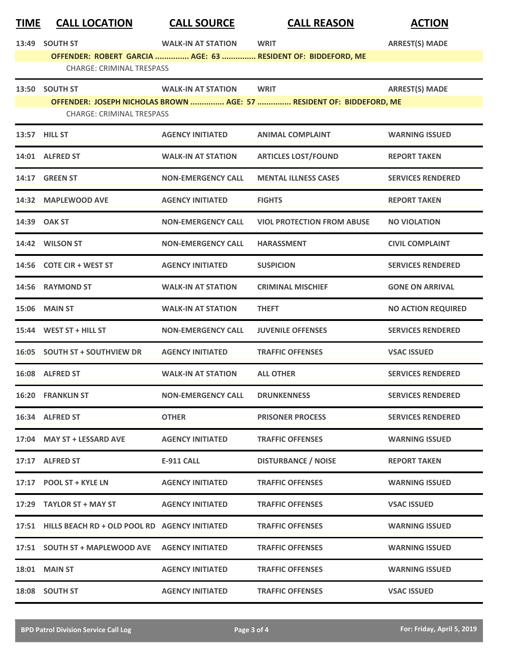| <b>TIME</b> | <b>CALL LOCATION</b>                                | <b>CALL SOURCE</b>        | <b>CALL REASON</b>                                                   | <b>ACTION</b>             |  |  |
|-------------|-----------------------------------------------------|---------------------------|----------------------------------------------------------------------|---------------------------|--|--|
| 13:49       | <b>SOUTH ST</b>                                     | <b>WALK-IN AT STATION</b> | <b>WRIT</b>                                                          | <b>ARREST(S) MADE</b>     |  |  |
|             |                                                     |                           | OFFENDER: ROBERT GARCIA  AGE: 63  RESIDENT OF: BIDDEFORD, ME         |                           |  |  |
|             | <b>CHARGE: CRIMINAL TRESPASS</b>                    |                           |                                                                      |                           |  |  |
| 13:50       | <b>SOUTH ST</b>                                     | <b>WALK-IN AT STATION</b> | <b>WRIT</b>                                                          | <b>ARREST(S) MADE</b>     |  |  |
|             | <b>CHARGE: CRIMINAL TRESPASS</b>                    |                           | OFFENDER: JOSEPH NICHOLAS BROWN  AGE: 57  RESIDENT OF: BIDDEFORD, ME |                           |  |  |
|             |                                                     |                           |                                                                      |                           |  |  |
|             | 13:57 HILL ST                                       | <b>AGENCY INITIATED</b>   | <b>ANIMAL COMPLAINT</b>                                              | <b>WARNING ISSUED</b>     |  |  |
|             | 14:01 ALFRED ST                                     | <b>WALK-IN AT STATION</b> | <b>ARTICLES LOST/FOUND</b>                                           | <b>REPORT TAKEN</b>       |  |  |
|             | 14:17 GREEN ST                                      | <b>NON-EMERGENCY CALL</b> | <b>MENTAL ILLNESS CASES</b>                                          | <b>SERVICES RENDERED</b>  |  |  |
| 14:32       | <b>MAPLEWOOD AVE</b>                                | <b>AGENCY INITIATED</b>   | <b>FIGHTS</b>                                                        | <b>REPORT TAKEN</b>       |  |  |
|             | 14:39 OAK ST                                        | <b>NON-EMERGENCY CALL</b> | <b>VIOL PROTECTION FROM ABUSE</b>                                    | <b>NO VIOLATION</b>       |  |  |
|             | 14:42 WILSON ST                                     | <b>NON-EMERGENCY CALL</b> | <b>HARASSMENT</b>                                                    | <b>CIVIL COMPLAINT</b>    |  |  |
|             | 14:56 COTE CIR + WEST ST                            | <b>AGENCY INITIATED</b>   | <b>SUSPICION</b>                                                     | <b>SERVICES RENDERED</b>  |  |  |
| 14:56       | <b>RAYMOND ST</b>                                   | <b>WALK-IN AT STATION</b> | <b>CRIMINAL MISCHIEF</b>                                             | <b>GONE ON ARRIVAL</b>    |  |  |
| 15:06       | <b>MAIN ST</b>                                      | <b>WALK-IN AT STATION</b> | <b>THEFT</b>                                                         | <b>NO ACTION REQUIRED</b> |  |  |
|             | 15:44 WEST ST + HILL ST                             | <b>NON-EMERGENCY CALL</b> | <b>JUVENILE OFFENSES</b>                                             | <b>SERVICES RENDERED</b>  |  |  |
| 16:05       | <b>SOUTH ST + SOUTHVIEW DR</b>                      | <b>AGENCY INITIATED</b>   | <b>TRAFFIC OFFENSES</b>                                              | <b>VSAC ISSUED</b>        |  |  |
|             | 16:08 ALFRED ST                                     | <b>WALK-IN AT STATION</b> | <b>ALL OTHER</b>                                                     | <b>SERVICES RENDERED</b>  |  |  |
|             | 16:20 FRANKLIN ST                                   | <b>NON-EMERGENCY CALL</b> | <b>DRUNKENNESS</b>                                                   | <b>SERVICES RENDERED</b>  |  |  |
|             | 16:34 ALFRED ST                                     | <b>OTHER</b>              | <b>PRISONER PROCESS</b>                                              | <b>SERVICES RENDERED</b>  |  |  |
|             | 17:04 MAY ST + LESSARD AVE                          | <b>AGENCY INITIATED</b>   | <b>TRAFFIC OFFENSES</b>                                              | <b>WARNING ISSUED</b>     |  |  |
|             | 17:17 ALFRED ST                                     | E-911 CALL                | <b>DISTURBANCE / NOISE</b>                                           | <b>REPORT TAKEN</b>       |  |  |
|             | 17:17 POOL ST + KYLE LN                             | <b>AGENCY INITIATED</b>   | <b>TRAFFIC OFFENSES</b>                                              | <b>WARNING ISSUED</b>     |  |  |
|             | 17:29 TAYLOR ST + MAY ST                            | <b>AGENCY INITIATED</b>   | <b>TRAFFIC OFFENSES</b>                                              | <b>VSAC ISSUED</b>        |  |  |
|             | 17:51 HILLS BEACH RD + OLD POOL RD AGENCY INITIATED |                           | <b>TRAFFIC OFFENSES</b>                                              | <b>WARNING ISSUED</b>     |  |  |
|             | 17:51 SOUTH ST + MAPLEWOOD AVE                      | <b>AGENCY INITIATED</b>   | <b>TRAFFIC OFFENSES</b>                                              | <b>WARNING ISSUED</b>     |  |  |
|             | <b>18:01 MAIN ST</b>                                | <b>AGENCY INITIATED</b>   | <b>TRAFFIC OFFENSES</b>                                              | <b>WARNING ISSUED</b>     |  |  |
|             | 18:08 SOUTH ST                                      | <b>AGENCY INITIATED</b>   | <b>TRAFFIC OFFENSES</b>                                              | <b>VSAC ISSUED</b>        |  |  |